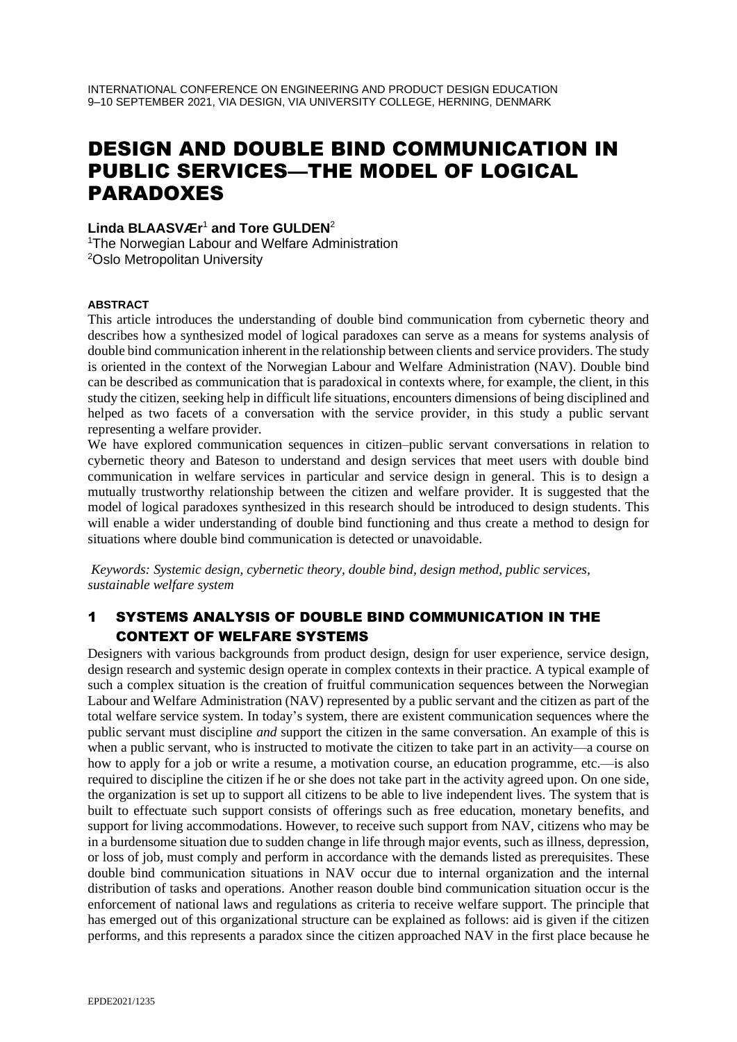# DESIGN AND DOUBLE BIND COMMUNICATION IN PUBLIC SERVICES—THE MODEL OF LOGICAL PARADOXES

**Linda BLAASVÆr** <sup>1</sup> **and Tore GULDEN**<sup>2</sup>

<sup>1</sup>The Norwegian Labour and Welfare Administration <sup>2</sup>Oslo Metropolitan University

#### **ABSTRACT**

This article introduces the understanding of double bind communication from cybernetic theory and describes how a synthesized model of logical paradoxes can serve as a means for systems analysis of double bind communication inherent in the relationship between clients and service providers. The study is oriented in the context of the Norwegian Labour and Welfare Administration (NAV). Double bind can be described as communication that is paradoxical in contexts where, for example, the client, in this study the citizen, seeking help in difficult life situations, encounters dimensions of being disciplined and helped as two facets of a conversation with the service provider, in this study a public servant representing a welfare provider.

We have explored communication sequences in citizen–public servant conversations in relation to cybernetic theory and Bateson to understand and design services that meet users with double bind communication in welfare services in particular and service design in general. This is to design a mutually trustworthy relationship between the citizen and welfare provider. It is suggested that the model of logical paradoxes synthesized in this research should be introduced to design students. This will enable a wider understanding of double bind functioning and thus create a method to design for situations where double bind communication is detected or unavoidable.

*Keywords: Systemic design, cybernetic theory, double bind, design method, public services, sustainable welfare system*

## 1 SYSTEMS ANALYSIS OF DOUBLE BIND COMMUNICATION IN THE CONTEXT OF WELFARE SYSTEMS

Designers with various backgrounds from product design, design for user experience, service design, design research and systemic design operate in complex contexts in their practice. A typical example of such a complex situation is the creation of fruitful communication sequences between the Norwegian Labour and Welfare Administration (NAV) represented by a public servant and the citizen as part of the total welfare service system. In today's system, there are existent communication sequences where the public servant must discipline *and* support the citizen in the same conversation. An example of this is when a public servant, who is instructed to motivate the citizen to take part in an activity—a course on how to apply for a job or write a resume, a motivation course, an education programme, etc.—is also required to discipline the citizen if he or she does not take part in the activity agreed upon. On one side, the organization is set up to support all citizens to be able to live independent lives. The system that is built to effectuate such support consists of offerings such as free education, monetary benefits, and support for living accommodations. However, to receive such support from NAV, citizens who may be in a burdensome situation due to sudden change in life through major events, such as illness, depression, or loss of job, must comply and perform in accordance with the demands listed as prerequisites. These double bind communication situations in NAV occur due to internal organization and the internal distribution of tasks and operations. Another reason double bind communication situation occur is the enforcement of national laws and regulations as criteria to receive welfare support. The principle that has emerged out of this organizational structure can be explained as follows: aid is given if the citizen performs, and this represents a paradox since the citizen approached NAV in the first place because he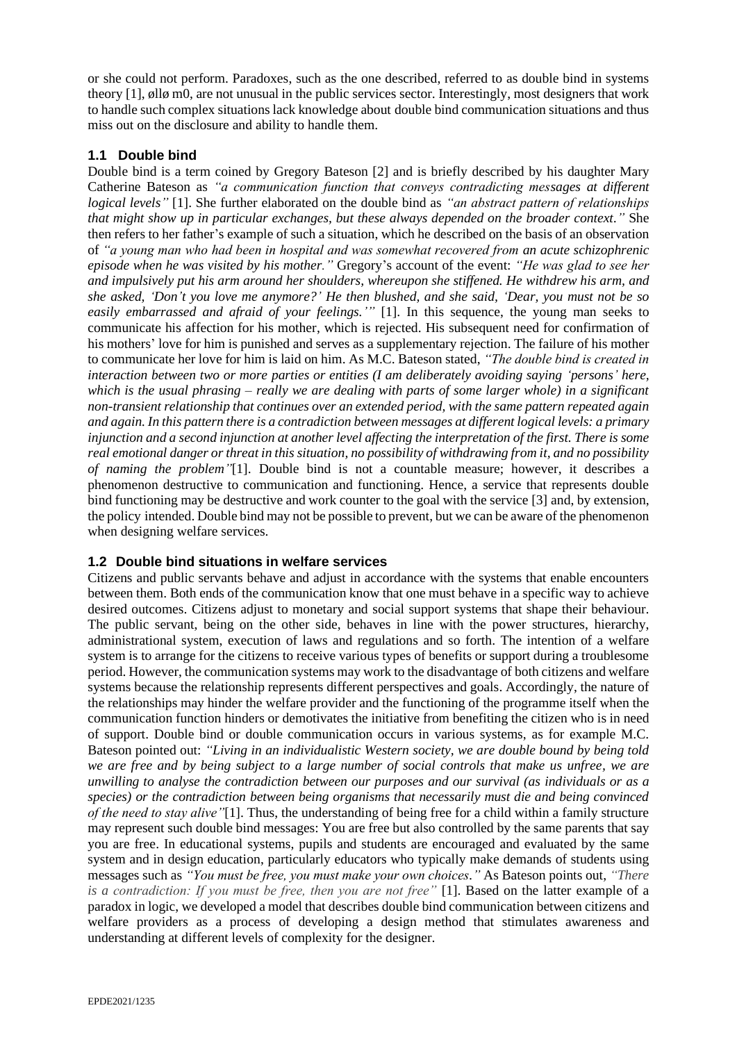or she could not perform. Paradoxes, such as the one described, referred to as double bind in systems theory [1], øllø m0, are not unusual in the public services sector. Interestingly, most designers that work to handle such complex situations lack knowledge about double bind communication situations and thus miss out on the disclosure and ability to handle them.

### **1.1 Double bind**

Double bind is a term coined by Gregory Bateson [2] and is briefly described by his daughter Mary Catherine Bateson as *"a communication function that conveys contradicting messages at different logical levels"* [1]. She further elaborated on the double bind as *"an abstract pattern of relationships that might show up in particular exchanges, but these always depended on the broader context."* She then refers to her father's example of such a situation, which he described on the basis of an observation of *"a young man who had been in hospital and was somewhat recovered from an acute schizophrenic episode when he was visited by his mother."* Gregory's account of the event: *"He was glad to see her and impulsively put his arm around her shoulders, whereupon she stiffened. He withdrew his arm, and she asked, 'Don't you love me anymore?' He then blushed, and she said, 'Dear, you must not be so easily embarrassed and afraid of your feelings.'"* [1]. In this sequence, the young man seeks to communicate his affection for his mother, which is rejected. His subsequent need for confirmation of his mothers' love for him is punished and serves as a supplementary rejection. The failure of his mother to communicate her love for him is laid on him. As M.C. Bateson stated, *"The double bind is created in interaction between two or more parties or entities (I am deliberately avoiding saying 'persons' here, which is the usual phrasing – really we are dealing with parts of some larger whole) in a significant non-transient relationship that continues over an extended period, with the same pattern repeated again and again. In this pattern there is a contradiction between messages at different logical levels: a primary injunction and a second injunction at another level affecting the interpretation of the first. There is some real emotional danger or threat in this situation, no possibility of withdrawing from it, and no possibility of naming the problem"*[1]. Double bind is not a countable measure; however, it describes a phenomenon destructive to communication and functioning. Hence, a service that represents double bind functioning may be destructive and work counter to the goal with the service [3] and, by extension, the policy intended. Double bind may not be possible to prevent, but we can be aware of the phenomenon when designing welfare services.

#### **1.2 Double bind situations in welfare services**

Citizens and public servants behave and adjust in accordance with the systems that enable encounters between them. Both ends of the communication know that one must behave in a specific way to achieve desired outcomes. Citizens adjust to monetary and social support systems that shape their behaviour. The public servant, being on the other side, behaves in line with the power structures, hierarchy, administrational system, execution of laws and regulations and so forth. The intention of a welfare system is to arrange for the citizens to receive various types of benefits or support during a troublesome period. However, the communication systems may work to the disadvantage of both citizens and welfare systems because the relationship represents different perspectives and goals. Accordingly, the nature of the relationships may hinder the welfare provider and the functioning of the programme itself when the communication function hinders or demotivates the initiative from benefiting the citizen who is in need of support. Double bind or double communication occurs in various systems, as for example M.C. Bateson pointed out: *"Living in an individualistic Western society, we are double bound by being told we are free and by being subject to a large number of social controls that make us unfree, we are unwilling to analyse the contradiction between our purposes and our survival (as individuals or as a species) or the contradiction between being organisms that necessarily must die and being convinced of the need to stay alive"*[1]. Thus, the understanding of being free for a child within a family structure may represent such double bind messages: You are free but also controlled by the same parents that say you are free. In educational systems, pupils and students are encouraged and evaluated by the same system and in design education, particularly educators who typically make demands of students using messages such as *"You must be free, you must make your own choices."* As Bateson points out, *"There is a contradiction: If you must be free, then you are not free"* [1]. Based on the latter example of a paradox in logic, we developed a model that describes double bind communication between citizens and welfare providers as a process of developing a design method that stimulates awareness and understanding at different levels of complexity for the designer.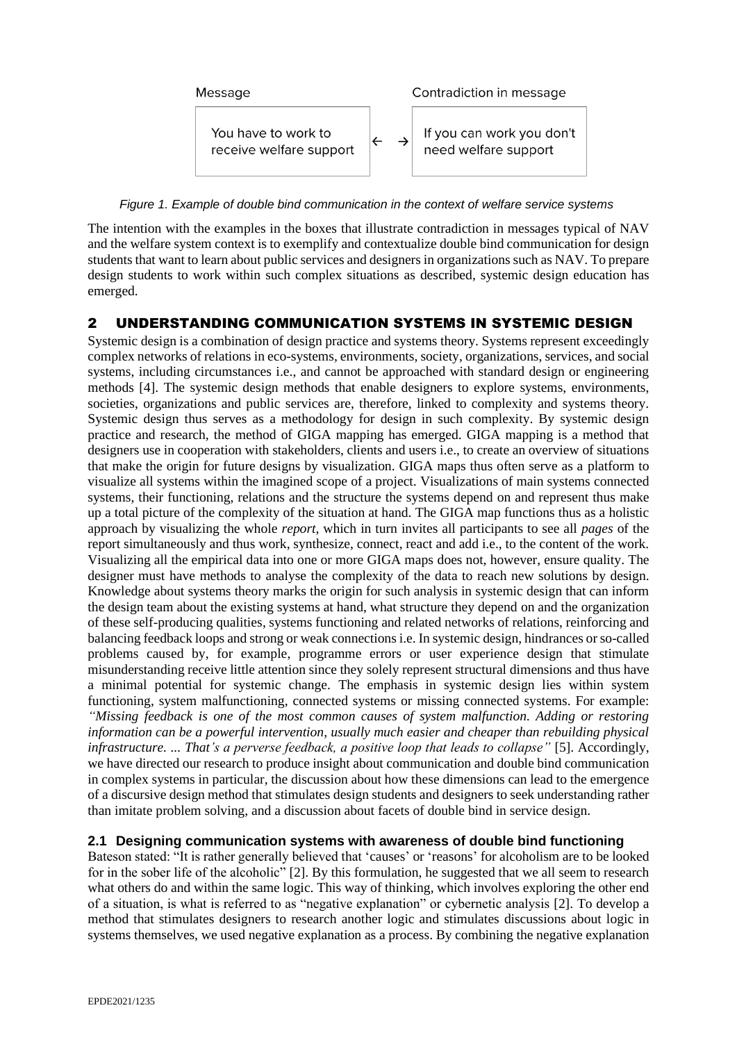

*Figure 1. Example of double bind communication in the context of welfare service systems*

The intention with the examples in the boxes that illustrate contradiction in messages typical of NAV and the welfare system context is to exemplify and contextualize double bind communication for design students that want to learn about public services and designers in organizations such as NAV. To prepare design students to work within such complex situations as described, systemic design education has emerged.

## 2 UNDERSTANDING COMMUNICATION SYSTEMS IN SYSTEMIC DESIGN

Systemic design is a combination of design practice and systems theory. Systems represent exceedingly complex networks of relations in eco-systems, environments, society, organizations, services, and social systems, including circumstances i.e., and cannot be approached with standard design or engineering methods [4]. The systemic design methods that enable designers to explore systems, environments, societies, organizations and public services are, therefore, linked to complexity and systems theory. Systemic design thus serves as a methodology for design in such complexity. By systemic design practice and research, the method of GIGA mapping has emerged. GIGA mapping is a method that designers use in cooperation with stakeholders, clients and users i.e., to create an overview of situations that make the origin for future designs by visualization. GIGA maps thus often serve as a platform to visualize all systems within the imagined scope of a project. Visualizations of main systems connected systems, their functioning, relations and the structure the systems depend on and represent thus make up a total picture of the complexity of the situation at hand. The GIGA map functions thus as a holistic approach by visualizing the whole *report*, which in turn invites all participants to see all *pages* of the report simultaneously and thus work, synthesize, connect, react and add i.e., to the content of the work. Visualizing all the empirical data into one or more GIGA maps does not, however, ensure quality. The designer must have methods to analyse the complexity of the data to reach new solutions by design. Knowledge about systems theory marks the origin for such analysis in systemic design that can inform the design team about the existing systems at hand, what structure they depend on and the organization of these self-producing qualities, systems functioning and related networks of relations, reinforcing and balancing feedback loops and strong or weak connections i.e. In systemic design, hindrances or so-called problems caused by, for example, programme errors or user experience design that stimulate misunderstanding receive little attention since they solely represent structural dimensions and thus have a minimal potential for systemic change. The emphasis in systemic design lies within system functioning, system malfunctioning, connected systems or missing connected systems. For example: *"Missing feedback is one of the most common causes of system malfunction. Adding or restoring information can be a powerful intervention, usually much easier and cheaper than rebuilding physical infrastructure. ... That's a perverse feedback, a positive loop that leads to collapse"* [5]. Accordingly, we have directed our research to produce insight about communication and double bind communication in complex systems in particular, the discussion about how these dimensions can lead to the emergence of a discursive design method that stimulates design students and designers to seek understanding rather than imitate problem solving, and a discussion about facets of double bind in service design.

#### **2.1 Designing communication systems with awareness of double bind functioning**

Bateson stated: "It is rather generally believed that 'causes' or 'reasons' for alcoholism are to be looked for in the sober life of the alcoholic" [2]. By this formulation, he suggested that we all seem to research what others do and within the same logic. This way of thinking, which involves exploring the other end of a situation, is what is referred to as "negative explanation" or cybernetic analysis [2]. To develop a method that stimulates designers to research another logic and stimulates discussions about logic in systems themselves, we used negative explanation as a process. By combining the negative explanation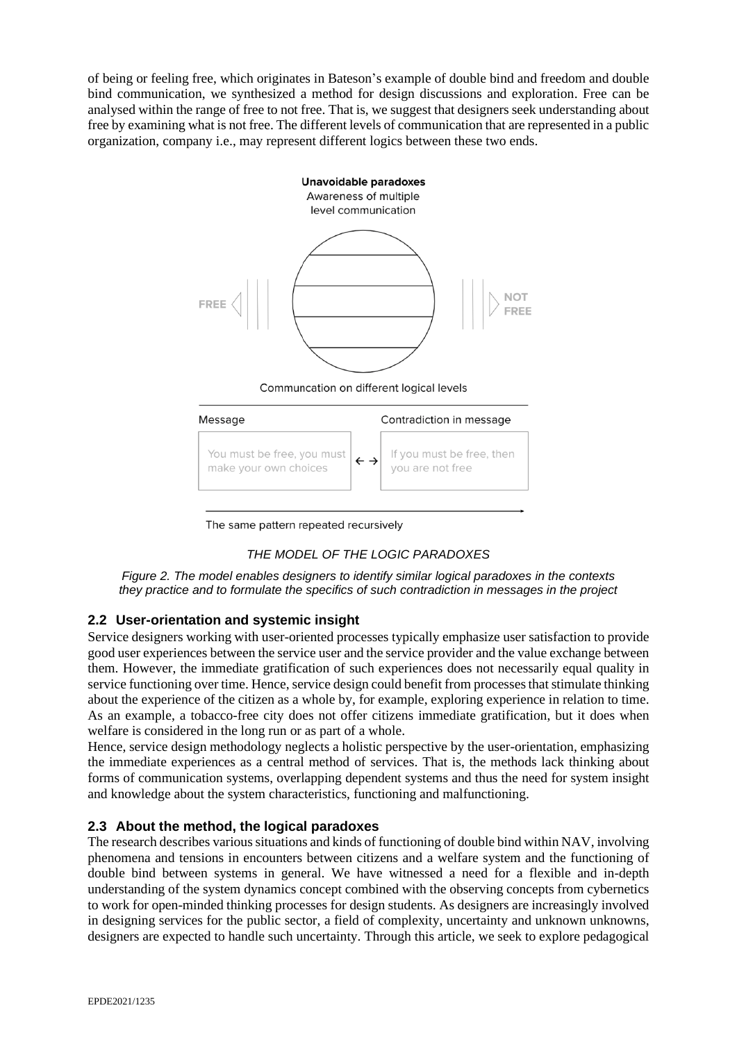of being or feeling free, which originates in Bateson's example of double bind and freedom and double bind communication, we synthesized a method for design discussions and exploration. Free can be analysed within the range of free to not free. That is, we suggest that designers seek understanding about free by examining what is not free. The different levels of communication that are represented in a public organization, company i.e., may represent different logics between these two ends.



The same pattern repeated recursively

## *THE MODEL OF THE LOGIC PARADOXES*

*Figure 2. The model enables designers to identify similar logical paradoxes in the contexts they practice and to formulate the specifics of such contradiction in messages in the project*

## **2.2 User-orientation and systemic insight**

Service designers working with user-oriented processes typically emphasize user satisfaction to provide good user experiences between the service user and the service provider and the value exchange between them. However, the immediate gratification of such experiences does not necessarily equal quality in service functioning over time. Hence, service design could benefit from processes that stimulate thinking about the experience of the citizen as a whole by, for example, exploring experience in relation to time. As an example, a tobacco-free city does not offer citizens immediate gratification, but it does when welfare is considered in the long run or as part of a whole.

Hence, service design methodology neglects a holistic perspective by the user-orientation, emphasizing the immediate experiences as a central method of services. That is, the methods lack thinking about forms of communication systems, overlapping dependent systems and thus the need for system insight and knowledge about the system characteristics, functioning and malfunctioning.

#### **2.3 About the method, the logical paradoxes**

The research describes various situations and kinds of functioning of double bind within NAV, involving phenomena and tensions in encounters between citizens and a welfare system and the functioning of double bind between systems in general. We have witnessed a need for a flexible and in-depth understanding of the system dynamics concept combined with the observing concepts from cybernetics to work for open-minded thinking processes for design students. As designers are increasingly involved in designing services for the public sector, a field of complexity, uncertainty and unknown unknowns, designers are expected to handle such uncertainty. Through this article, we seek to explore pedagogical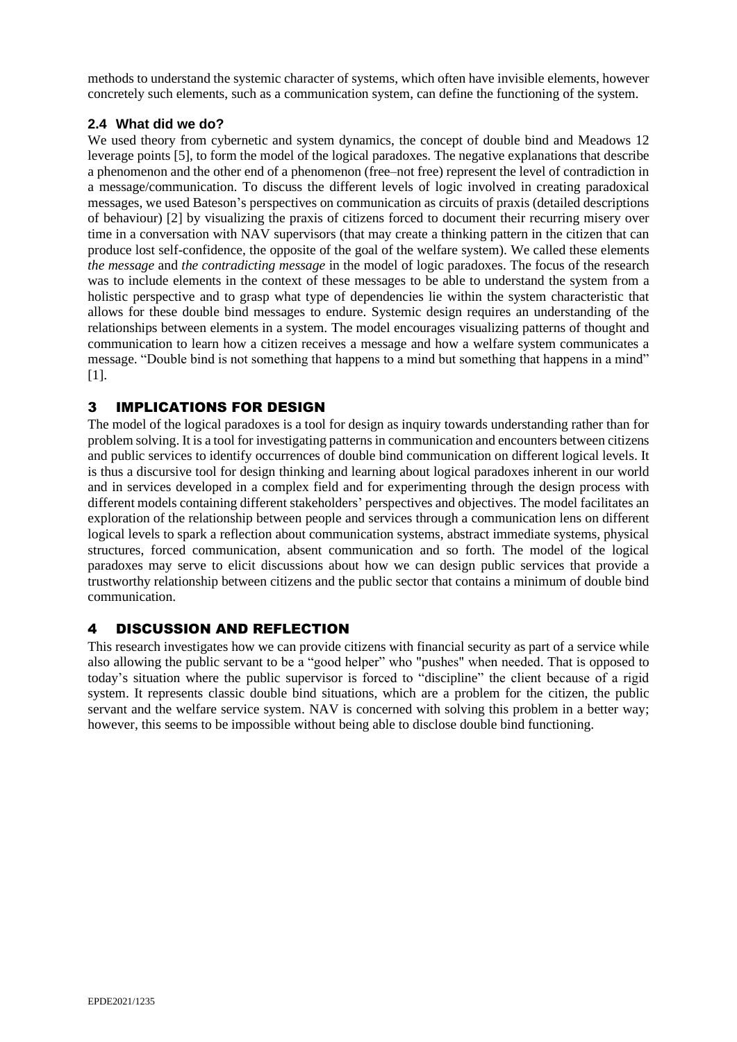methods to understand the systemic character of systems, which often have invisible elements, however concretely such elements, such as a communication system, can define the functioning of the system.

### **2.4 What did we do?**

We used theory from cybernetic and system dynamics, the concept of double bind and Meadows 12 leverage points [5], to form the model of the logical paradoxes. The negative explanations that describe a phenomenon and the other end of a phenomenon (free–not free) represent the level of contradiction in a message/communication. To discuss the different levels of logic involved in creating paradoxical messages, we used Bateson's perspectives on communication as circuits of praxis (detailed descriptions of behaviour) [2] by visualizing the praxis of citizens forced to document their recurring misery over time in a conversation with NAV supervisors (that may create a thinking pattern in the citizen that can produce lost self-confidence, the opposite of the goal of the welfare system). We called these elements *the message* and *the contradicting message* in the model of logic paradoxes. The focus of the research was to include elements in the context of these messages to be able to understand the system from a holistic perspective and to grasp what type of dependencies lie within the system characteristic that allows for these double bind messages to endure. Systemic design requires an understanding of the relationships between elements in a system. The model encourages visualizing patterns of thought and communication to learn how a citizen receives a message and how a welfare system communicates a message. "Double bind is not something that happens to a mind but something that happens in a mind" [1].

# 3 IMPLICATIONS FOR DESIGN

The model of the logical paradoxes is a tool for design as inquiry towards understanding rather than for problem solving. It is a tool for investigating patterns in communication and encounters between citizens and public services to identify occurrences of double bind communication on different logical levels. It is thus a discursive tool for design thinking and learning about logical paradoxes inherent in our world and in services developed in a complex field and for experimenting through the design process with different models containing different stakeholders' perspectives and objectives. The model facilitates an exploration of the relationship between people and services through a communication lens on different logical levels to spark a reflection about communication systems, abstract immediate systems, physical structures, forced communication, absent communication and so forth. The model of the logical paradoxes may serve to elicit discussions about how we can design public services that provide a trustworthy relationship between citizens and the public sector that contains a minimum of double bind communication.

## 4 DISCUSSION AND REFLECTION

This research investigates how we can provide citizens with financial security as part of a service while also allowing the public servant to be a "good helper" who "pushes" when needed. That is opposed to today's situation where the public supervisor is forced to "discipline" the client because of a rigid system. It represents classic double bind situations, which are a problem for the citizen, the public servant and the welfare service system. NAV is concerned with solving this problem in a better way; however, this seems to be impossible without being able to disclose double bind functioning.